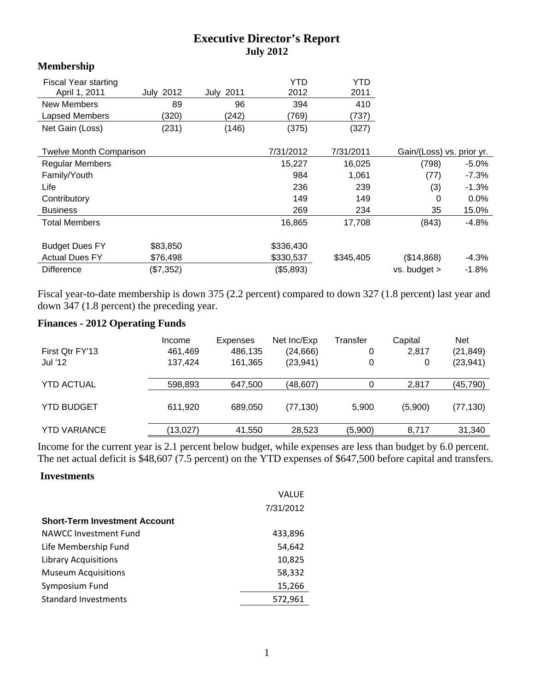# **Executive Director's Report July 2012**

### **Membership**

| <b>Fiscal Year starting</b><br>April 1, 2011 | 2012<br>July | <b>July 2011</b> | YTD<br>2012 | YTD<br>2011 |                           |          |
|----------------------------------------------|--------------|------------------|-------------|-------------|---------------------------|----------|
| <b>New Members</b>                           | 89           | 96               | 394         | 410         |                           |          |
| Lapsed Members                               | (320)        | (242)            | (769)       | (737)       |                           |          |
| Net Gain (Loss)                              | (231)        | (146)            | (375)       | (327)       |                           |          |
|                                              |              |                  |             |             |                           |          |
| <b>Twelve Month Comparison</b>               |              |                  | 7/31/2012   | 7/31/2011   | Gain/(Loss) vs. prior yr. |          |
| <b>Regular Members</b>                       |              |                  | 15,227      | 16,025      | (798)                     | $-5.0\%$ |
| Family/Youth                                 |              |                  | 984         | 1,061       | (77)                      | $-7.3%$  |
| Life                                         |              |                  | 236         | 239         | (3)                       | $-1.3%$  |
| Contributory                                 |              |                  | 149         | 149         | 0                         | 0.0%     |
| <b>Business</b>                              |              |                  | 269         | 234         | 35                        | 15.0%    |
| <b>Total Members</b>                         |              |                  | 16,865      | 17,708      | (843)                     | -4.8%    |
| <b>Budget Dues FY</b>                        | \$83,850     |                  | \$336,430   |             |                           |          |
|                                              |              |                  |             |             |                           |          |
| <b>Actual Dues FY</b>                        | \$76,498     |                  | \$330,537   | \$345,405   | (\$14,868)                | $-4.3%$  |
| <b>Difference</b>                            | (\$7,352)    |                  | (\$5,893)   |             | vs. budget >              | $-1.8\%$ |

Fiscal year-to-date membership is down 375 (2.2 percent) compared to down 327 (1.8 percent) last year and down 347 (1.8 percent) the preceding year.

# **Finances - 2012 Operating Funds**

| First Qtr FY'13<br>Jul '12 | Income<br>461,469<br>137,424 | Expenses<br>486,135<br>161,365 | Net Inc/Exp<br>(24, 666)<br>(23, 941) | Transfer<br>0<br>0 | Capital<br>2,817<br>0 | <b>Net</b><br>(21, 849)<br>(23, 941) |
|----------------------------|------------------------------|--------------------------------|---------------------------------------|--------------------|-----------------------|--------------------------------------|
| <b>YTD ACTUAL</b>          | 598,893                      | 647,500                        | (48, 607)                             |                    | 2,817                 | (45,790)                             |
| <b>YTD BUDGET</b>          | 611,920                      | 689.050                        | (77, 130)                             | 5,900              | (5,900)               | (77,130)                             |
| <b>YTD VARIANCE</b>        | (13, 027)                    | 41,550                         | 28,523                                | (5,900)            | 8,717                 | 31,340                               |

Income for the current year is 2.1 percent below budget, while expenses are less than budget by 6.0 percent. The net actual deficit is \$48,607 (7.5 percent) on the YTD expenses of \$647,500 before capital and transfers.

#### **Investments**

|                                      | <b>VALUE</b> |
|--------------------------------------|--------------|
|                                      | 7/31/2012    |
| <b>Short-Term Investment Account</b> |              |
| NAWCC Investment Fund                | 433,896      |
| Life Membership Fund                 | 54,642       |
| <b>Library Acquisitions</b>          | 10,825       |
| <b>Museum Acquisitions</b>           | 58,332       |
| Symposium Fund                       | 15,266       |
| <b>Standard Investments</b>          | 572,961      |